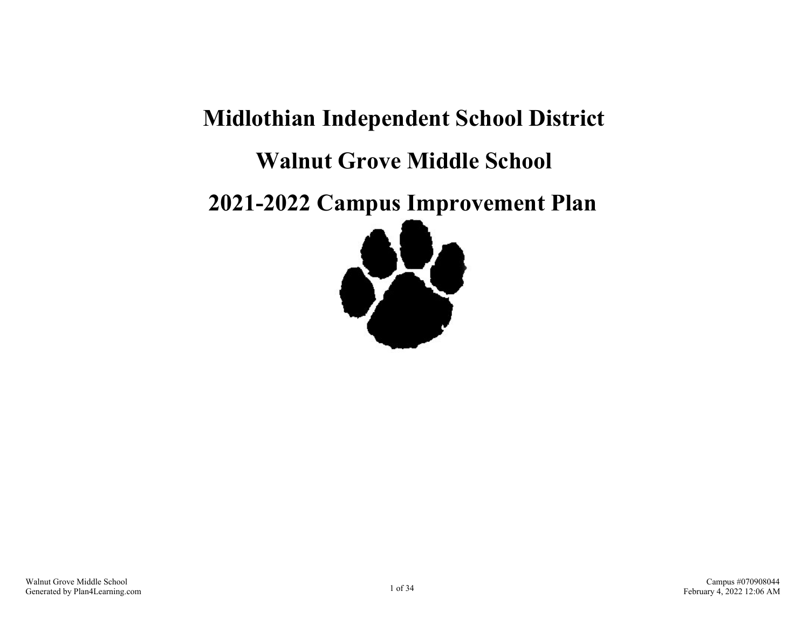# **Midlothian Independent School District Walnut Grove Middle School**

**2021-2022 Campus Improvement Plan**

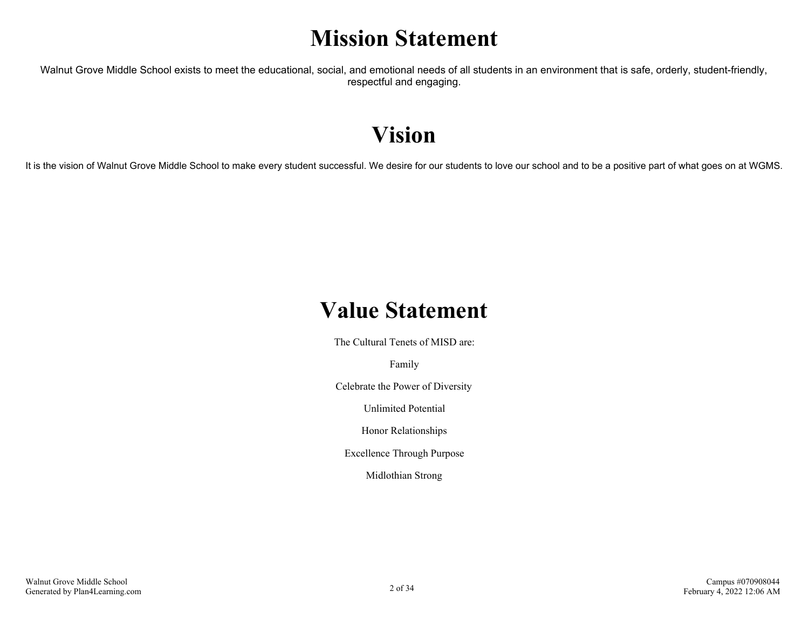### **Mission Statement**

Walnut Grove Middle School exists to meet the educational, social, and emotional needs of all students in an environment that is safe, orderly, student-friendly, respectful and engaging.

### **Vision**

It is the vision of Walnut Grove Middle School to make every student successful. We desire for our students to love our school and to be a positive part of what goes on at WGMS.

### **Value Statement**

The Cultural Tenets of MISD are:

Family

Celebrate the Power of Diversity

Unlimited Potential

Honor Relationships

Excellence Through Purpose

Midlothian Strong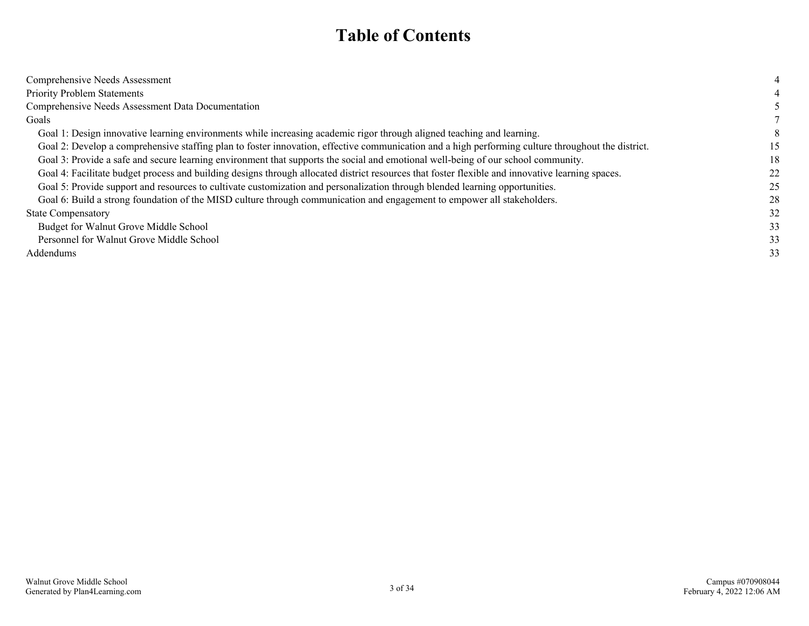### **Table of Contents**

| Comprehensive Needs Assessment                                                                                                                     |    |
|----------------------------------------------------------------------------------------------------------------------------------------------------|----|
| <b>Priority Problem Statements</b>                                                                                                                 |    |
| Comprehensive Needs Assessment Data Documentation                                                                                                  |    |
| Goals                                                                                                                                              |    |
| Goal 1: Design innovative learning environments while increasing academic rigor through aligned teaching and learning.                             |    |
| Goal 2: Develop a comprehensive staffing plan to foster innovation, effective communication and a high performing culture throughout the district. | 15 |
| Goal 3: Provide a safe and secure learning environment that supports the social and emotional well-being of our school community.                  | 18 |
| Goal 4: Facilitate budget process and building designs through allocated district resources that foster flexible and innovative learning spaces.   | 22 |
| Goal 5: Provide support and resources to cultivate customization and personalization through blended learning opportunities.                       | 25 |
| Goal 6: Build a strong foundation of the MISD culture through communication and engagement to empower all stakeholders.                            | 28 |
| <b>State Compensatory</b>                                                                                                                          | 32 |
| Budget for Walnut Grove Middle School                                                                                                              | 33 |
| Personnel for Walnut Grove Middle School                                                                                                           | 33 |
| Addendums                                                                                                                                          | 33 |
|                                                                                                                                                    |    |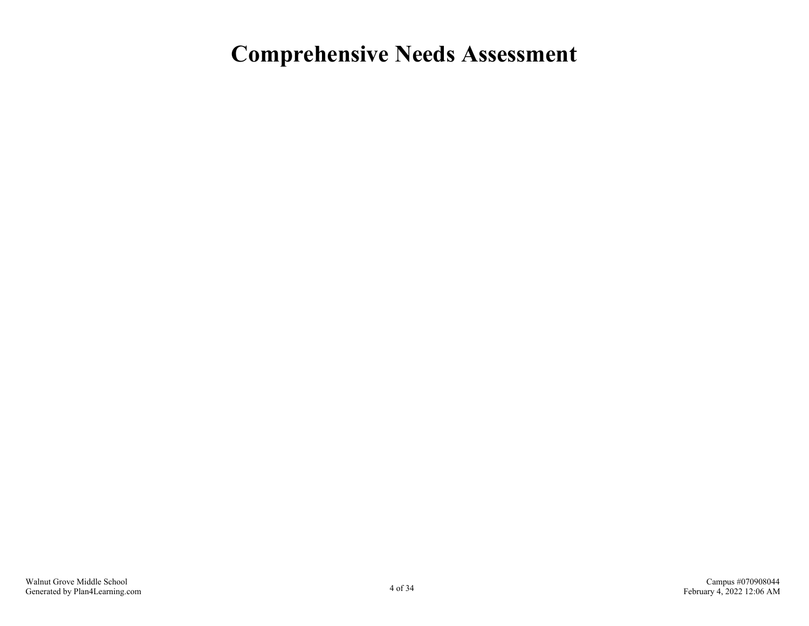### <span id="page-3-0"></span>**Comprehensive Needs Assessment**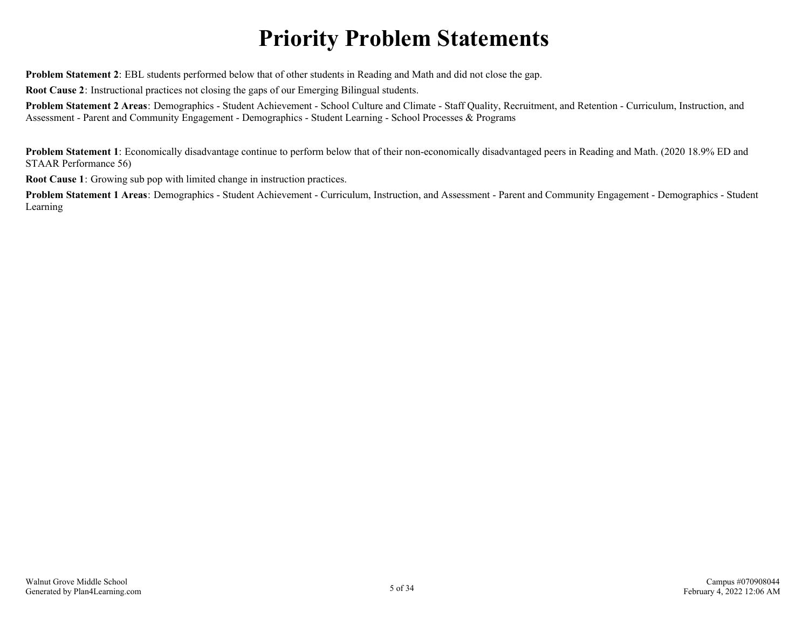## **Priority Problem Statements**

<span id="page-4-0"></span>**Problem Statement 2**: EBL students performed below that of other students in Reading and Math and did not close the gap.

**Root Cause 2**: Instructional practices not closing the gaps of our Emerging Bilingual students.

**Problem Statement 2 Areas**: Demographics - Student Achievement - School Culture and Climate - Staff Quality, Recruitment, and Retention - Curriculum, Instruction, and Assessment - Parent and Community Engagement - Demographics - Student Learning - School Processes & Programs

**Problem Statement 1**: Economically disadvantage continue to perform below that of their non-economically disadvantaged peers in Reading and Math. (2020 18.9% ED and STAAR Performance 56)

**Root Cause 1**: Growing sub pop with limited change in instruction practices.

**Problem Statement 1 Areas**: Demographics - Student Achievement - Curriculum, Instruction, and Assessment - Parent and Community Engagement - Demographics - Student Learning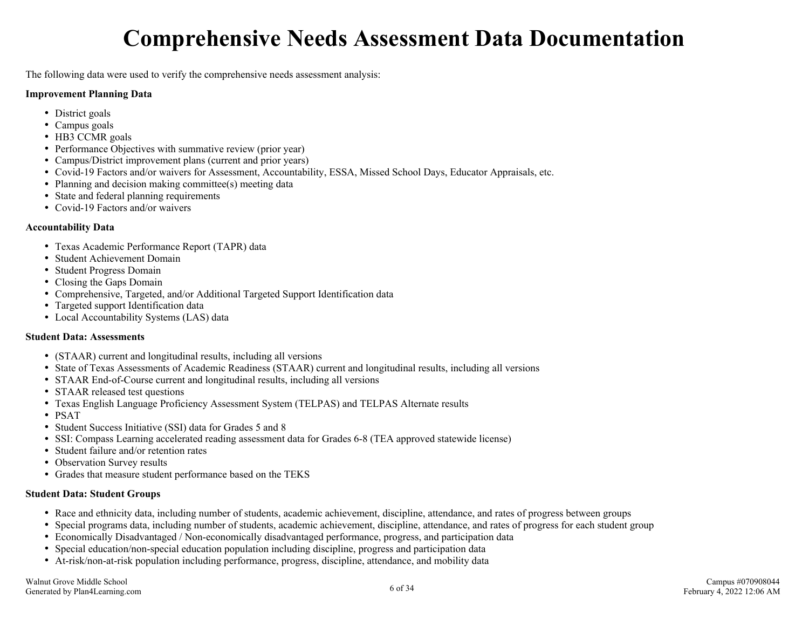## **Comprehensive Needs Assessment Data Documentation**

<span id="page-5-0"></span>The following data were used to verify the comprehensive needs assessment analysis:

#### **Improvement Planning Data**

- District goals
- Campus goals
- HB3 CCMR goals
- Performance Objectives with summative review (prior year)
- Campus/District improvement plans (current and prior years)
- Covid-19 Factors and/or waivers for Assessment, Accountability, ESSA, Missed School Days, Educator Appraisals, etc.
- Planning and decision making committee(s) meeting data
- State and federal planning requirements
- Covid-19 Factors and/or waivers

#### **Accountability Data**

- Texas Academic Performance Report (TAPR) data
- Student Achievement Domain
- Student Progress Domain
- Closing the Gaps Domain
- Comprehensive, Targeted, and/or Additional Targeted Support Identification data
- Targeted support Identification data
- Local Accountability Systems (LAS) data

#### **Student Data: Assessments**

- (STAAR) current and longitudinal results, including all versions
- State of Texas Assessments of Academic Readiness (STAAR) current and longitudinal results, including all versions
- STAAR End-of-Course current and longitudinal results, including all versions
- STAAR released test questions
- Texas English Language Proficiency Assessment System (TELPAS) and TELPAS Alternate results
- PSAT
- Student Success Initiative (SSI) data for Grades 5 and 8
- SSI: Compass Learning accelerated reading assessment data for Grades 6-8 (TEA approved statewide license)
- Student failure and/or retention rates
- Observation Survey results
- Grades that measure student performance based on the TEKS

#### **Student Data: Student Groups**

- Race and ethnicity data, including number of students, academic achievement, discipline, attendance, and rates of progress between groups
- Special programs data, including number of students, academic achievement, discipline, attendance, and rates of progress for each student group
- Economically Disadvantaged / Non-economically disadvantaged performance, progress, and participation data
- Special education/non-special education population including discipline, progress and participation data
- At-risk/non-at-risk population including performance, progress, discipline, attendance, and mobility data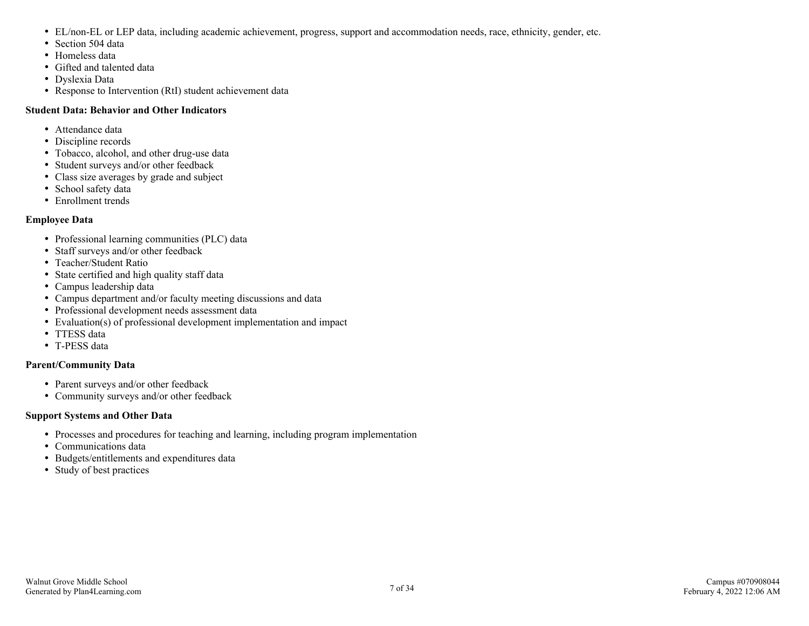- EL/non-EL or LEP data, including academic achievement, progress, support and accommodation needs, race, ethnicity, gender, etc.
- Section 504 data
- Homeless data
- Gifted and talented data
- Dyslexia Data
- Response to Intervention (RtI) student achievement data

#### **Student Data: Behavior and Other Indicators**

- Attendance data
- Discipline records
- Tobacco, alcohol, and other drug-use data
- Student surveys and/or other feedback
- Class size averages by grade and subject
- School safety data
- Enrollment trends

#### **Employee Data**

- Professional learning communities (PLC) data
- Staff surveys and/or other feedback
- Teacher/Student Ratio
- State certified and high quality staff data
- Campus leadership data
- Campus department and/or faculty meeting discussions and data
- Professional development needs assessment data
- Evaluation(s) of professional development implementation and impact
- TTESS data
- T-PESS data

#### **Parent/Community Data**

- Parent surveys and/or other feedback
- Community surveys and/or other feedback

#### **Support Systems and Other Data**

- Processes and procedures for teaching and learning, including program implementation
- Communications data
- Budgets/entitlements and expenditures data
- Study of best practices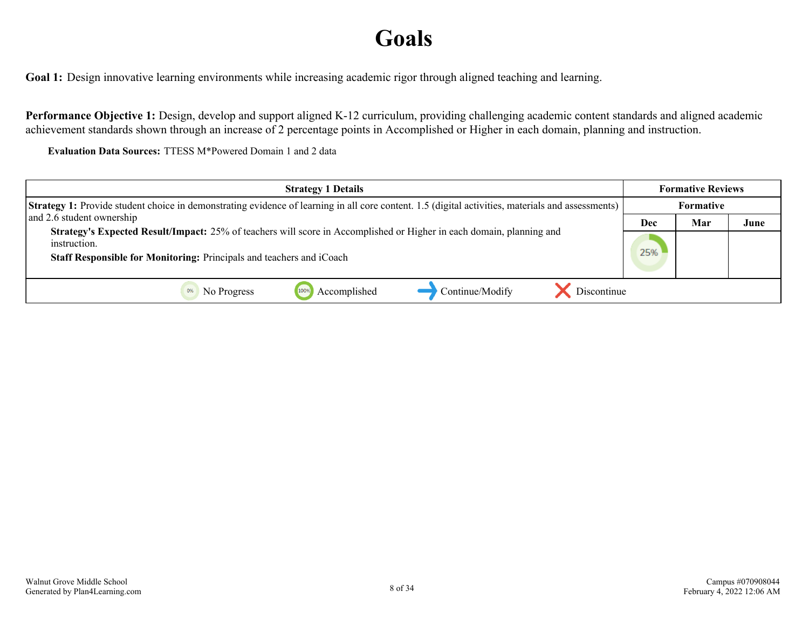## **Goals**

<span id="page-7-0"></span>**Goal 1:** Design innovative learning environments while increasing academic rigor through aligned teaching and learning.

**Performance Objective 1:** Design, develop and support aligned K-12 curriculum, providing challenging academic content standards and aligned academic achievement standards shown through an increase of 2 percentage points in Accomplished or Higher in each domain, planning and instruction.

**Evaluation Data Sources:** TTESS M\*Powered Domain 1 and 2 data

| <b>Strategy 1 Details</b>                                                                                                                                | <b>Formative Reviews</b> |                  |      |
|----------------------------------------------------------------------------------------------------------------------------------------------------------|--------------------------|------------------|------|
| <b>Strategy 1:</b> Provide student choice in demonstrating evidence of learning in all core content. 1.5 (digital activities, materials and assessments) |                          | <b>Formative</b> |      |
| and 2.6 student ownership                                                                                                                                | Dec                      | Mar              | June |
| <b>Strategy's Expected Result/Impact:</b> 25% of teachers will score in Accomplished or Higher in each domain, planning and<br>instruction.              |                          |                  |      |
| Staff Responsible for Monitoring: Principals and teachers and iCoach                                                                                     | 25%                      |                  |      |
| Continue/Modify<br>Discontinue<br>Accomplished<br>No Progress                                                                                            |                          |                  |      |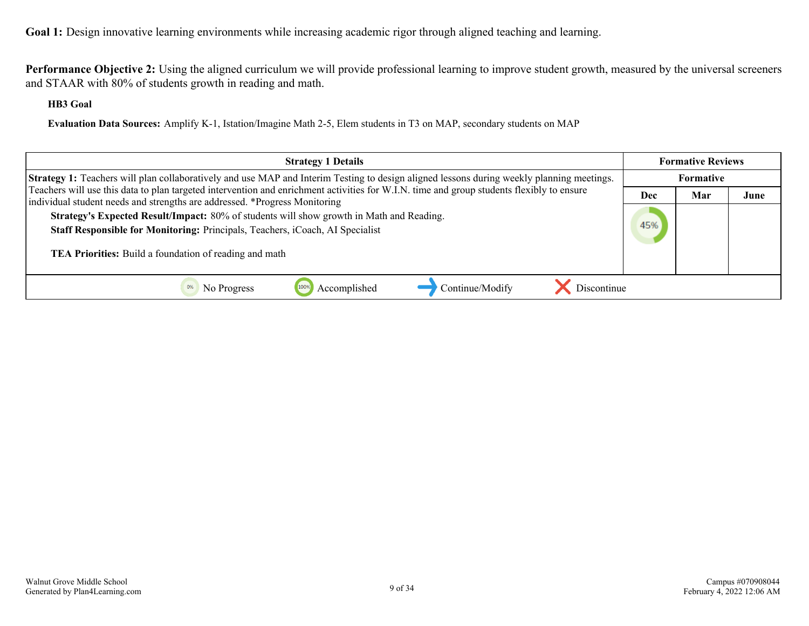**Performance Objective 2:** Using the aligned curriculum we will provide professional learning to improve student growth, measured by the universal screeners and STAAR with 80% of students growth in reading and math.

#### **HB3 Goal**

**Evaluation Data Sources:** Amplify K-1, Istation/Imagine Math 2-5, Elem students in T3 on MAP, secondary students on MAP

| <b>Strategy 1 Details</b>                                                                                                                                                                                                           | <b>Formative Reviews</b> |                    |  |
|-------------------------------------------------------------------------------------------------------------------------------------------------------------------------------------------------------------------------------------|--------------------------|--------------------|--|
| <b>Strategy 1:</b> Teachers will plan collaboratively and use MAP and Interim Testing to design aligned lessons during weekly planning meetings.                                                                                    |                          | <b>Formative</b>   |  |
| Teachers will use this data to plan targeted intervention and enrichment activities for W.I.N. time and group students flexibly to ensure<br>individual student needs and strengths are addressed. *Progress Monitoring             |                          | Mar<br>June<br>Dec |  |
| Strategy's Expected Result/Impact: 80% of students will show growth in Math and Reading.<br>Staff Responsible for Monitoring: Principals, Teachers, iCoach, AI Specialist<br>TEA Priorities: Build a foundation of reading and math | 45%                      |                    |  |
| Discontinue<br>Accomplished<br>Continue/Modify<br>No Progress                                                                                                                                                                       |                          |                    |  |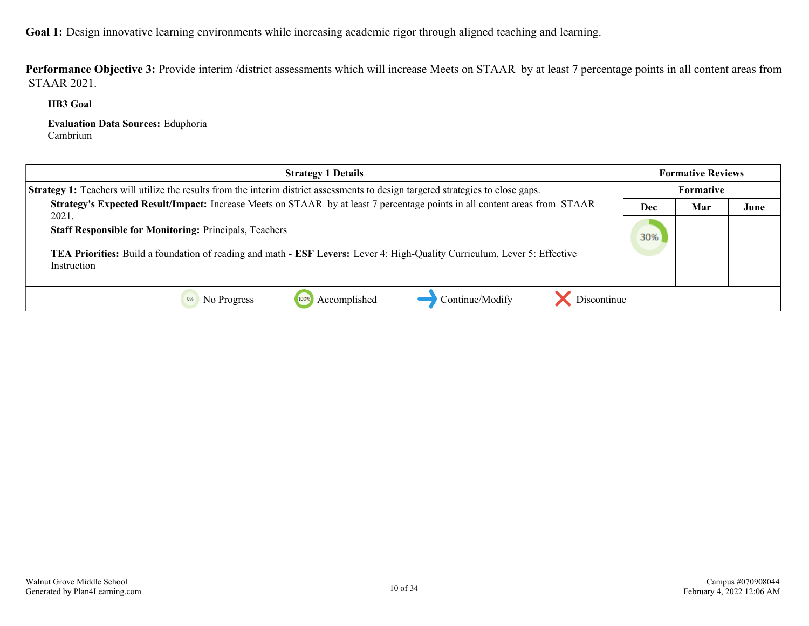Performance Objective 3: Provide interim /district assessments which will increase Meets on STAAR by at least 7 percentage points in all content areas from STAAR 2021.

**HB3 Goal**

**Evaluation Data Sources:** Eduphoria Cambrium

| <b>Strategy 1 Details</b>                                                                                                                                                                                                        |     | <b>Formative Reviews</b> |      |
|----------------------------------------------------------------------------------------------------------------------------------------------------------------------------------------------------------------------------------|-----|--------------------------|------|
| <b>Strategy 1:</b> Teachers will utilize the results from the interim district assessments to design targeted strategies to close gaps.                                                                                          |     | Formative                |      |
| Strategy's Expected Result/Impact: Increase Meets on STAAR by at least 7 percentage points in all content areas from STAAR                                                                                                       | Dec | Mar                      | June |
| 2021.<br><b>Staff Responsible for Monitoring: Principals, Teachers</b><br><b>TEA Priorities:</b> Build a foundation of reading and math - <b>ESF Levers:</b> Lever 4: High-Quality Curriculum, Lever 5: Effective<br>Instruction | 30% |                          |      |
| Continue/Modify<br>Discontinue<br>Accomplished<br>No Progress                                                                                                                                                                    |     |                          |      |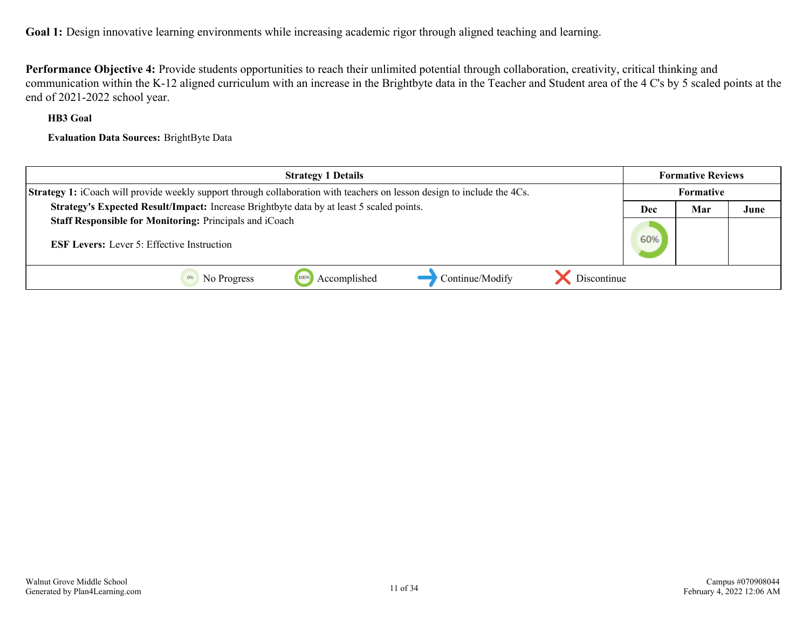**Performance Objective 4:** Provide students opportunities to reach their unlimited potential through collaboration, creativity, critical thinking and communication within the K-12 aligned curriculum with an increase in the Brightbyte data in the Teacher and Student area of the 4 C's by 5 scaled points at the end of 2021-2022 school year.

#### **HB3 Goal**

**Evaluation Data Sources:** BrightByte Data

| <b>Strategy 1 Details</b>                                                                                                      |            | <b>Formative Reviews</b> |      |
|--------------------------------------------------------------------------------------------------------------------------------|------------|--------------------------|------|
| <b>Strategy 1:</b> iCoach will provide weekly support through collaboration with teachers on lesson design to include the 4Cs. | Formative  |                          |      |
| Strategy's Expected Result/Impact: Increase Brightbyte data by at least 5 scaled points.                                       | Mar<br>Dec |                          | June |
| Staff Responsible for Monitoring: Principals and iCoach                                                                        |            |                          |      |
| <b>ESF Levers:</b> Lever 5: Effective Instruction                                                                              | 60%        |                          |      |
|                                                                                                                                |            |                          |      |
| Discontinue<br>Continue/Modify<br>1009<br>Accomplished<br>No Progress                                                          |            |                          |      |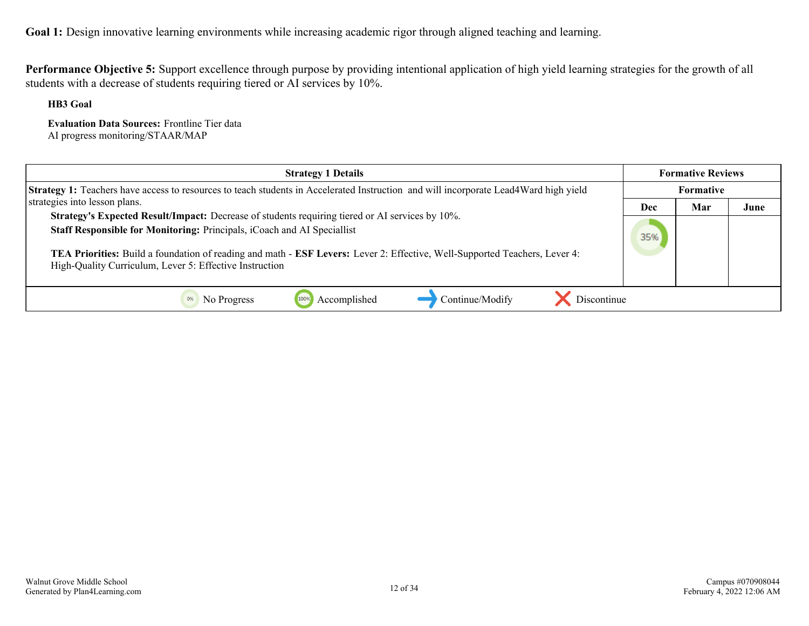**Performance Objective 5:** Support excellence through purpose by providing intentional application of high yield learning strategies for the growth of all students with a decrease of students requiring tiered or AI services by 10%.

**HB3 Goal**

**Evaluation Data Sources:** Frontline Tier data AI progress monitoring/STAAR/MAP

| <b>Strategy 1 Details</b>                                                                                                                                                                                                                                                                                                                                           |                  | <b>Formative Reviews</b> |      |
|---------------------------------------------------------------------------------------------------------------------------------------------------------------------------------------------------------------------------------------------------------------------------------------------------------------------------------------------------------------------|------------------|--------------------------|------|
| <b>Strategy 1:</b> Teachers have access to resources to teach students in Accelerated Instruction and will incorporate Lead4Ward high yield                                                                                                                                                                                                                         | <b>Formative</b> |                          |      |
| strategies into lesson plans.                                                                                                                                                                                                                                                                                                                                       | Dec              | Mar                      | June |
| Strategy's Expected Result/Impact: Decrease of students requiring tiered or AI services by 10%.<br>Staff Responsible for Monitoring: Principals, iCoach and AI Speciallist<br>TEA Priorities: Build a foundation of reading and math - ESF Levers: Lever 2: Effective, Well-Supported Teachers, Lever 4:<br>High-Quality Curriculum, Lever 5: Effective Instruction | 35%              |                          |      |
| Continue/Modify<br>Accomplished<br>Discontinue<br>No Progress                                                                                                                                                                                                                                                                                                       |                  |                          |      |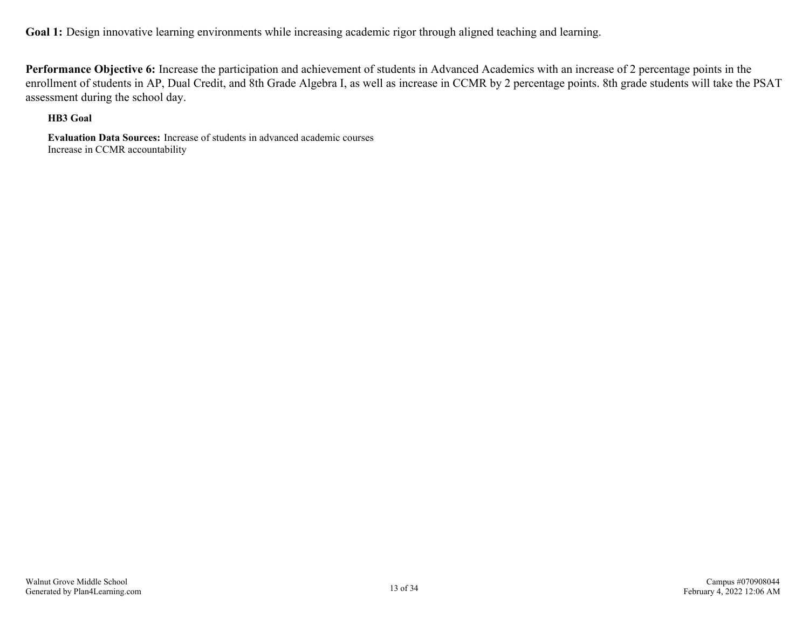**Performance Objective 6:** Increase the participation and achievement of students in Advanced Academics with an increase of 2 percentage points in the enrollment of students in AP, Dual Credit, and 8th Grade Algebra I, as well as increase in CCMR by 2 percentage points. 8th grade students will take the PSAT assessment during the school day.

#### **HB3 Goal**

**Evaluation Data Sources:** Increase of students in advanced academic courses Increase in CCMR accountability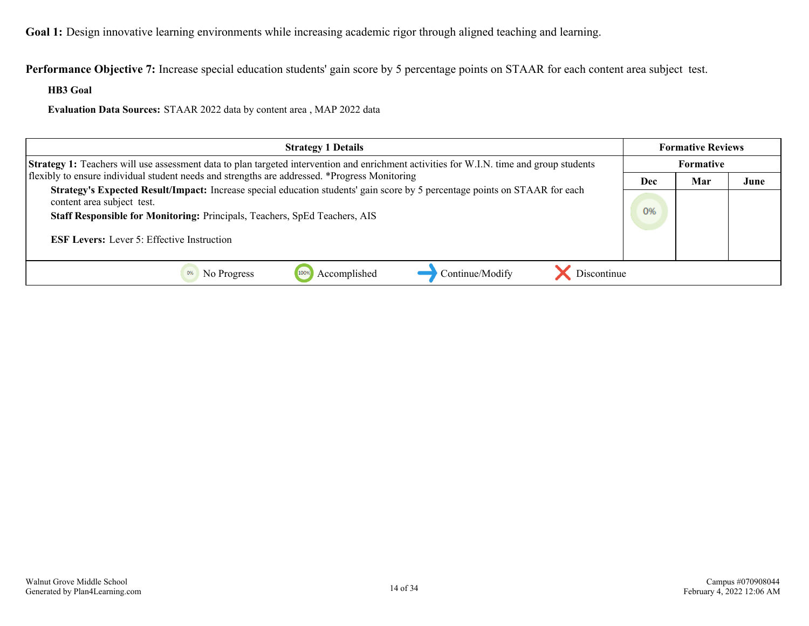**Performance Objective 7:** Increase special education students' gain score by 5 percentage points on STAAR for each content area subject test.

**HB3 Goal**

**Evaluation Data Sources:** STAAR 2022 data by content area , MAP 2022 data

| <b>Strategy 1 Details</b>                                                                                                                                                                                                                                                                    |    | <b>Formative Reviews</b> |      |
|----------------------------------------------------------------------------------------------------------------------------------------------------------------------------------------------------------------------------------------------------------------------------------------------|----|--------------------------|------|
| Strategy 1: Teachers will use assessment data to plan targeted intervention and enrichment activities for W.I.N. time and group students                                                                                                                                                     |    | Formative                |      |
| flexibly to ensure individual student needs and strengths are addressed. *Progress Monitoring                                                                                                                                                                                                |    | Mar                      | June |
| Strategy's Expected Result/Impact: Increase special education students' gain score by 5 percentage points on STAAR for each<br>content area subject test.<br>Staff Responsible for Monitoring: Principals, Teachers, SpEd Teachers, AIS<br><b>ESF Levers:</b> Lever 5: Effective Instruction | 0% |                          |      |
| Discontinue<br>Accomplished<br>Continue/Modify<br>No Progress                                                                                                                                                                                                                                |    |                          |      |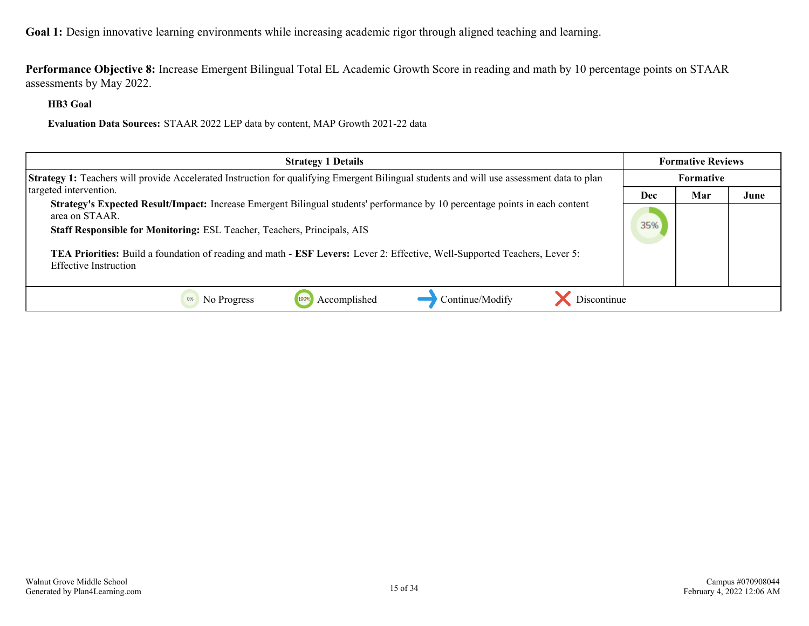**Performance Objective 8:** Increase Emergent Bilingual Total EL Academic Growth Score in reading and math by 10 percentage points on STAAR assessments by May 2022.

**HB3 Goal**

**Evaluation Data Sources:** STAAR 2022 LEP data by content, MAP Growth 2021-22 data

| <b>Strategy 1 Details</b>                                                                                                                                                                                                  |            | <b>Formative Reviews</b> |      |
|----------------------------------------------------------------------------------------------------------------------------------------------------------------------------------------------------------------------------|------------|--------------------------|------|
| Strategy 1: Teachers will provide Accelerated Instruction for qualifying Emergent Bilingual students and will use assessment data to plan                                                                                  |            | <b>Formative</b>         |      |
| targeted intervention.                                                                                                                                                                                                     | <b>Dec</b> | Mar                      | June |
| Strategy's Expected Result/Impact: Increase Emergent Bilingual students' performance by 10 percentage points in each content<br>area on STAAR.<br>Staff Responsible for Monitoring: ESL Teacher, Teachers, Principals, AIS | 35%        |                          |      |
| TEA Priorities: Build a foundation of reading and math - ESF Levers: Lever 2: Effective, Well-Supported Teachers, Lever 5:<br>Effective Instruction                                                                        |            |                          |      |
| Accomplished<br>Discontinue<br>Continue/Modify<br>No Progress                                                                                                                                                              |            |                          |      |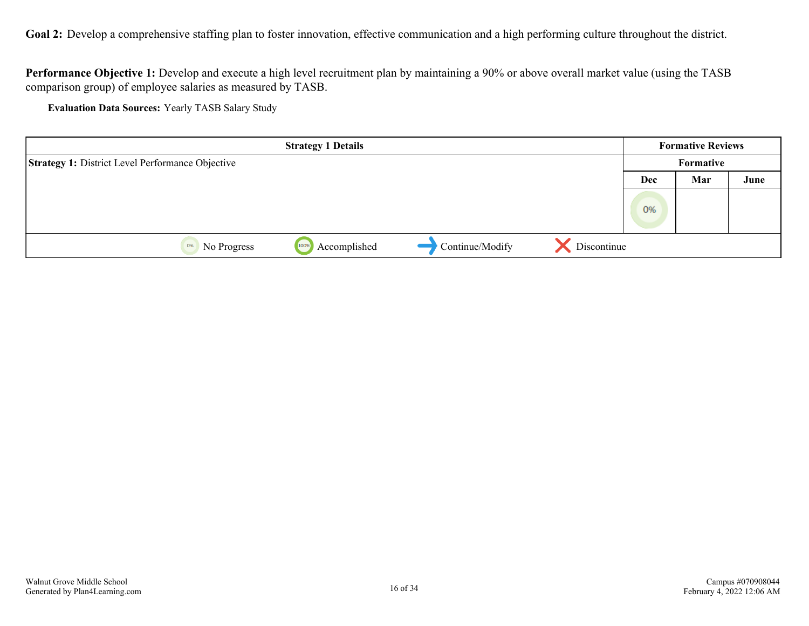<span id="page-15-0"></span>Goal 2: Develop a comprehensive staffing plan to foster innovation, effective communication and a high performing culture throughout the district.

**Performance Objective 1:** Develop and execute a high level recruitment plan by maintaining a 90% or above overall market value (using the TASB comparison group) of employee salaries as measured by TASB.

**Evaluation Data Sources:** Yearly TASB Salary Study

|                                                         | <b>Strategy 1 Details</b> |                 |             |     | <b>Formative Reviews</b> |      |
|---------------------------------------------------------|---------------------------|-----------------|-------------|-----|--------------------------|------|
| <b>Strategy 1: District Level Performance Objective</b> |                           |                 |             |     | Formative                |      |
|                                                         |                           |                 |             | Dec | Mar                      | June |
|                                                         |                           |                 |             | 0%  |                          |      |
|                                                         |                           |                 |             |     |                          |      |
| No Progress<br>0%                                       | Accomplished<br>100%      | Continue/Modify | Discontinue |     |                          |      |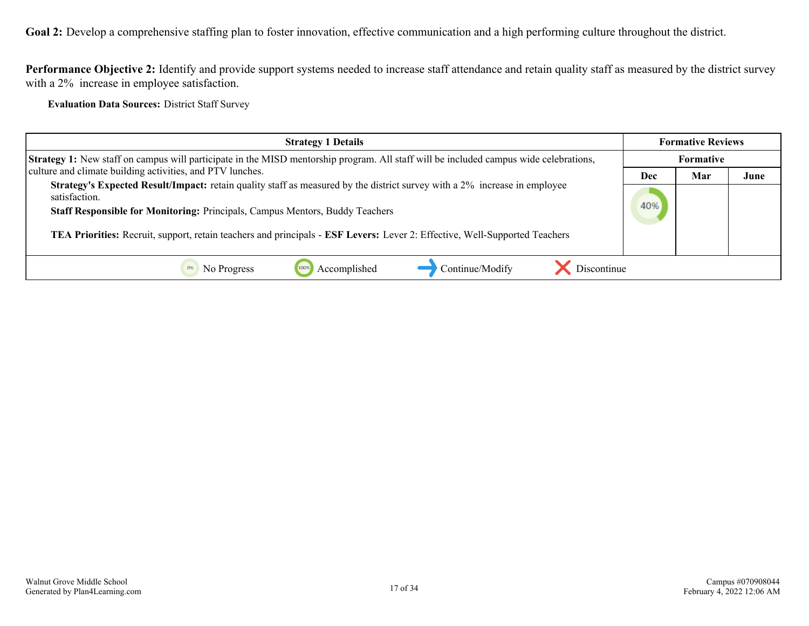**Goal 2:** Develop a comprehensive staffing plan to foster innovation, effective communication and a high performing culture throughout the district.

**Performance Objective 2:** Identify and provide support systems needed to increase staff attendance and retain quality staff as measured by the district survey with a 2% increase in employee satisfaction.

**Evaluation Data Sources:** District Staff Survey

| <b>Strategy 1 Details</b>                                                                                                                                                                                                         |     | <b>Formative Reviews</b> |      |
|-----------------------------------------------------------------------------------------------------------------------------------------------------------------------------------------------------------------------------------|-----|--------------------------|------|
| Strategy 1: New staff on campus will participate in the MISD mentorship program. All staff will be included campus wide celebrations,                                                                                             |     | <b>Formative</b>         |      |
| culture and climate building activities, and PTV lunches.                                                                                                                                                                         | Dec | Mar                      | June |
| <b>Strategy's Expected Result/Impact:</b> retain quality staff as measured by the district survey with a 2% increase in employee<br>satisfaction.<br>Staff Responsible for Monitoring: Principals, Campus Mentors, Buddy Teachers | 40% |                          |      |
| TEA Priorities: Recruit, support, retain teachers and principals - ESF Levers: Lever 2: Effective, Well-Supported Teachers                                                                                                        |     |                          |      |
| Discontinue<br>Accomplished<br>Continue/Modify<br>No Progress                                                                                                                                                                     |     |                          |      |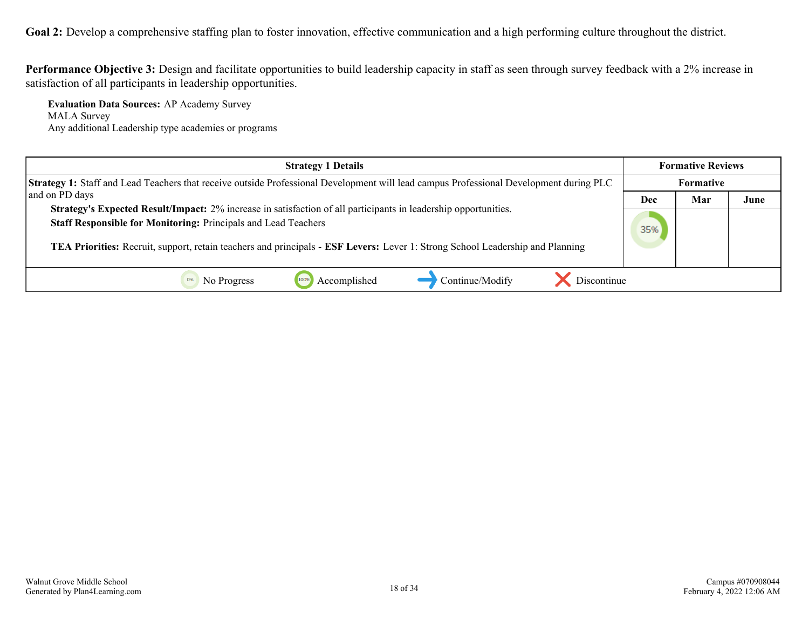Goal 2: Develop a comprehensive staffing plan to foster innovation, effective communication and a high performing culture throughout the district.

**Performance Objective 3:** Design and facilitate opportunities to build leadership capacity in staff as seen through survey feedback with a 2% increase in satisfaction of all participants in leadership opportunities.

**Evaluation Data Sources:** AP Academy Survey MALA Survey Any additional Leadership type academies or programs

| <b>Strategy 1 Details</b>                                                                                                                                                                                                                                                                                          |           | <b>Formative Reviews</b> |      |
|--------------------------------------------------------------------------------------------------------------------------------------------------------------------------------------------------------------------------------------------------------------------------------------------------------------------|-----------|--------------------------|------|
| Strategy 1: Staff and Lead Teachers that receive outside Professional Development will lead campus Professional Development during PLC                                                                                                                                                                             | Formative |                          |      |
| and on PD days                                                                                                                                                                                                                                                                                                     | Dec       | Mar                      | June |
| Strategy's Expected Result/Impact: 2% increase in satisfaction of all participants in leadership opportunities.<br>Staff Responsible for Monitoring: Principals and Lead Teachers<br>TEA Priorities: Recruit, support, retain teachers and principals - ESF Levers: Lever 1: Strong School Leadership and Planning | 35%       |                          |      |
| Continue/Modify<br>Accomplished<br>Discontinue<br>No Progress                                                                                                                                                                                                                                                      |           |                          |      |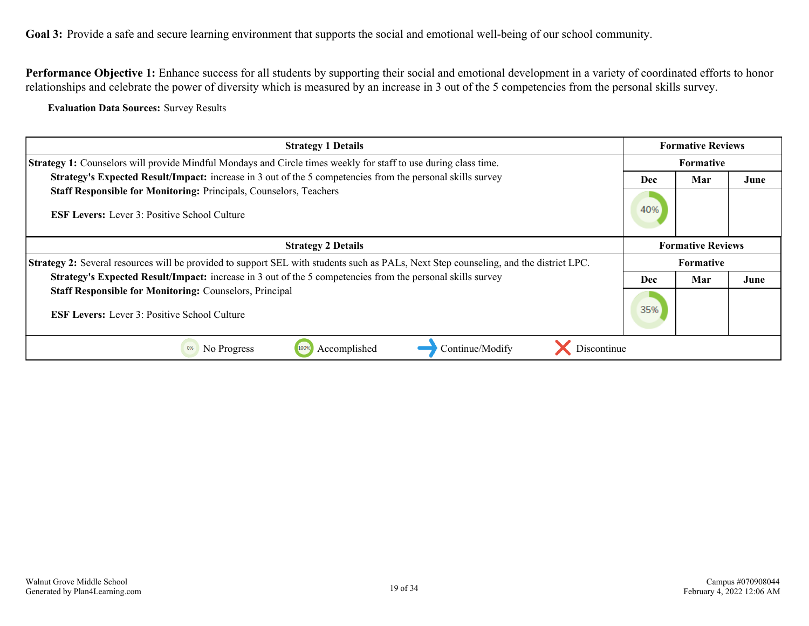<span id="page-18-0"></span>Performance Objective 1: Enhance success for all students by supporting their social and emotional development in a variety of coordinated efforts to honor relationships and celebrate the power of diversity which is measured by an increase in 3 out of the 5 competencies from the personal skills survey.

**Evaluation Data Sources:** Survey Results

| <b>Strategy 1 Details</b>                                                                                                                    | <b>Formative Reviews</b> |                          |      |
|----------------------------------------------------------------------------------------------------------------------------------------------|--------------------------|--------------------------|------|
| <b>Strategy 1:</b> Counselors will provide Mindful Mondays and Circle times weekly for staff to use during class time.                       | Formative                |                          |      |
| Strategy's Expected Result/Impact: increase in 3 out of the 5 competencies from the personal skills survey                                   | Mar<br><b>Dec</b>        |                          | June |
| Staff Responsible for Monitoring: Principals, Counselors, Teachers<br><b>ESF Levers:</b> Lever 3: Positive School Culture                    | 40%                      |                          |      |
| <b>Strategy 2 Details</b>                                                                                                                    |                          | <b>Formative Reviews</b> |      |
| <b>Strategy 2:</b> Several resources will be provided to support SEL with students such as PALs, Next Step counseling, and the district LPC. |                          | <b>Formative</b>         |      |
| <b>Strategy's Expected Result/Impact:</b> increase in 3 out of the 5 competencies from the personal skills survey                            | <b>Dec</b>               | Mar                      | June |
| <b>Staff Responsible for Monitoring: Counselors, Principal</b><br><b>ESF Levers:</b> Lever 3: Positive School Culture                        | 35%                      |                          |      |
| Discontinue<br>Continue/Modify<br>Accomplished<br>0%<br>No Progress<br>100%                                                                  |                          |                          |      |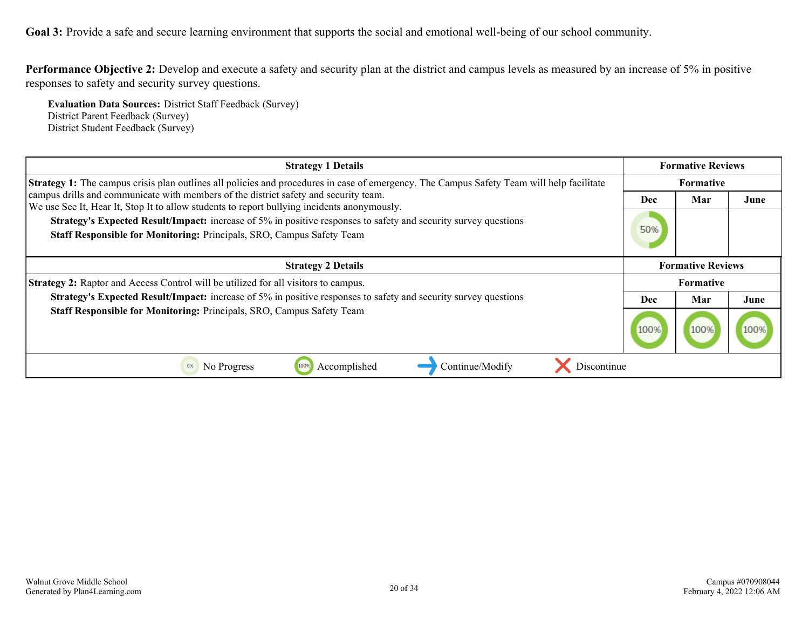**Performance Objective 2:** Develop and execute a safety and security plan at the district and campus levels as measured by an increase of 5% in positive responses to safety and security survey questions.

**Evaluation Data Sources:** District Staff Feedback (Survey) District Parent Feedback (Survey) District Student Feedback (Survey)

| <b>Strategy 1 Details</b>                                                                                                                                                                       |      | <b>Formative Reviews</b> |      |  |
|-------------------------------------------------------------------------------------------------------------------------------------------------------------------------------------------------|------|--------------------------|------|--|
| <b>Strategy 1:</b> The campus crisis plan outlines all policies and procedures in case of emergency. The Campus Safety Team will help facilitate                                                |      | <b>Formative</b>         |      |  |
| campus drills and communicate with members of the district safety and security team.<br>We use See It, Hear It, Stop It to allow students to report bullying incidents anonymously.             | Dec  | Mar                      | June |  |
| <b>Strategy's Expected Result/Impact:</b> increase of 5% in positive responses to safety and security survey questions<br>Staff Responsible for Monitoring: Principals, SRO, Campus Safety Team | 50%  |                          |      |  |
| <b>Strategy 2 Details</b>                                                                                                                                                                       |      | <b>Formative Reviews</b> |      |  |
| <b>Strategy 2:</b> Raptor and Access Control will be utilized for all visitors to campus.                                                                                                       |      | <b>Formative</b>         |      |  |
| <b>Strategy's Expected Result/Impact:</b> increase of 5% in positive responses to safety and security survey questions                                                                          | Dec  | Mar                      | June |  |
| Staff Responsible for Monitoring: Principals, SRO, Campus Safety Team                                                                                                                           | 100% | 100%                     |      |  |
| 0%<br>Discontinue<br>No Progress<br>1009<br>Continue/Modify<br>Accomplished                                                                                                                     |      |                          |      |  |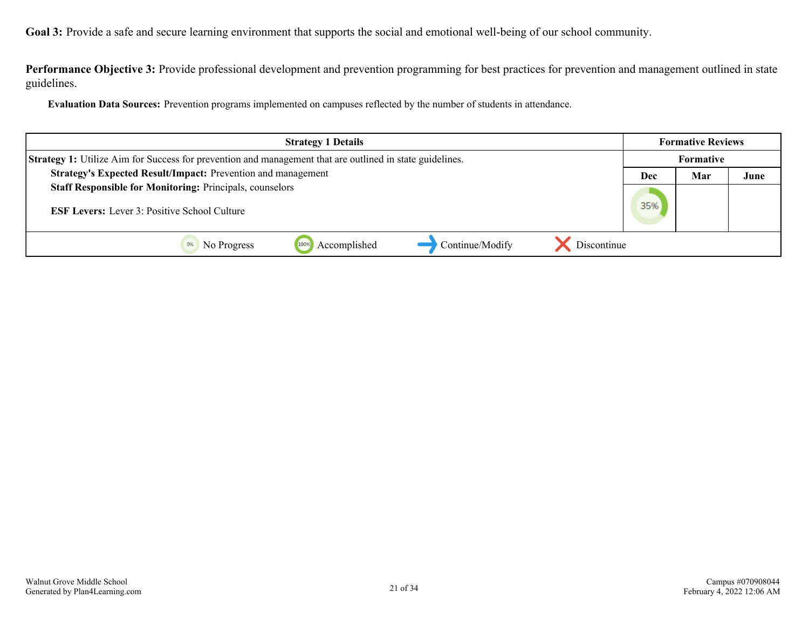**Performance Objective 3:** Provide professional development and prevention programming for best practices for prevention and management outlined in state guidelines.

**Evaluation Data Sources:** Prevention programs implemented on campuses reflected by the number of students in attendance.

| <b>Strategy 1 Details</b>                                                                                       |     |     | <b>Formative Reviews</b> |
|-----------------------------------------------------------------------------------------------------------------|-----|-----|--------------------------|
| <b>Strategy 1:</b> Utilize Aim for Success for prevention and management that are outlined in state guidelines. |     |     |                          |
| Strategy's Expected Result/Impact: Prevention and management                                                    | Dec | Mar | June                     |
| <b>Staff Responsible for Monitoring: Principals, counselors</b>                                                 |     |     |                          |
| <b>ESF Levers:</b> Lever 3: Positive School Culture                                                             | 35% |     |                          |
| Accomplished<br>Continue/Modify<br>Discontinue<br>1009<br>No Progress                                           |     |     |                          |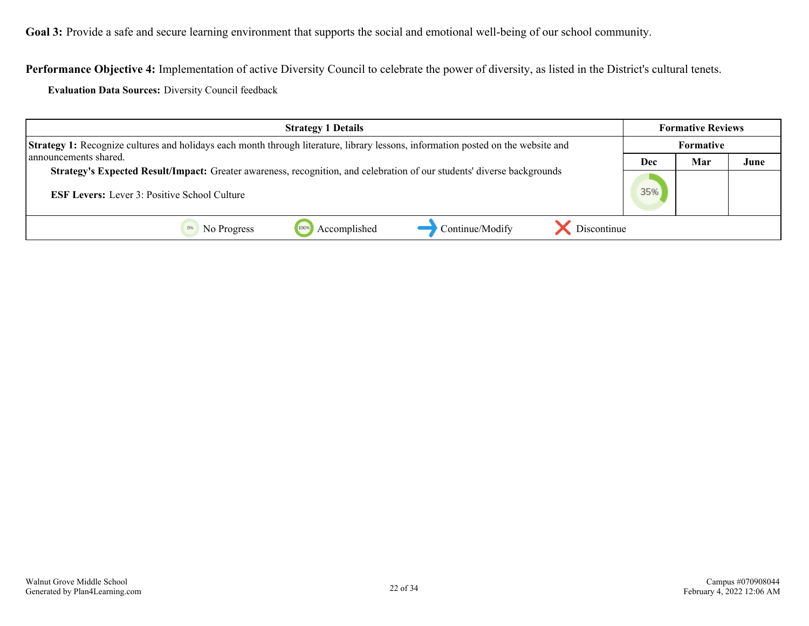**Performance Objective 4:** Implementation of active Diversity Council to celebrate the power of diversity, as listed in the District's cultural tenets.

**Evaluation Data Sources:** Diversity Council feedback

| <b>Strategy 1 Details</b>                                                                                                                                                      | <b>Formative Reviews</b> |     |      |
|--------------------------------------------------------------------------------------------------------------------------------------------------------------------------------|--------------------------|-----|------|
| <b>Strategy 1:</b> Recognize cultures and holidays each month through literature, library lessons, information posted on the website and                                       |                          |     |      |
| announcements shared.                                                                                                                                                          | Dec                      | Mar | June |
| Strategy's Expected Result/Impact: Greater awareness, recognition, and celebration of our students' diverse backgrounds<br><b>ESF Levers:</b> Lever 3: Positive School Culture |                          |     |      |
| Discontinue<br>Continue/Modify<br>Accomplished<br>1009<br>No Progress                                                                                                          |                          |     |      |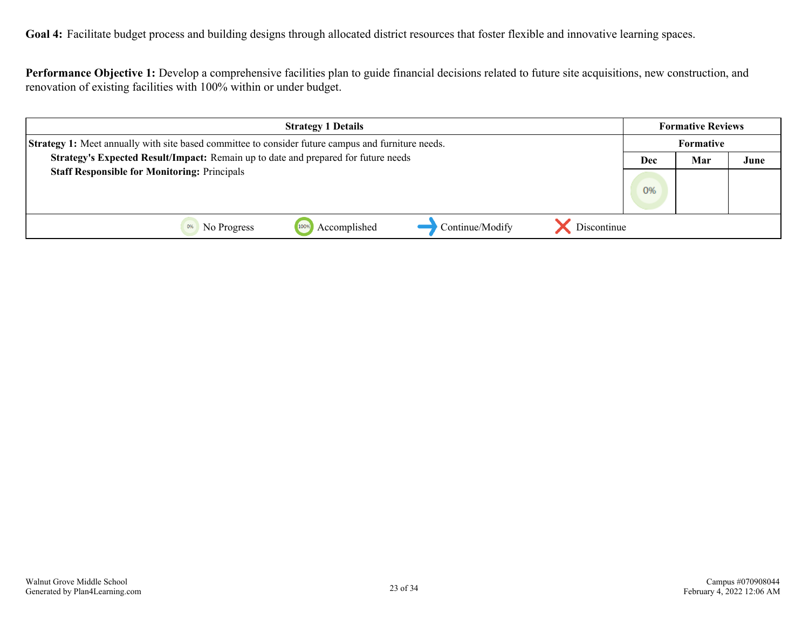<span id="page-22-0"></span>Goal 4: Facilitate budget process and building designs through allocated district resources that foster flexible and innovative learning spaces.

**Performance Objective 1:** Develop a comprehensive facilities plan to guide financial decisions related to future site acquisitions, new construction, and renovation of existing facilities with 100% within or under budget.

| <b>Strategy 1 Details</b>                                                                                 |     |           | <b>Formative Reviews</b> |
|-----------------------------------------------------------------------------------------------------------|-----|-----------|--------------------------|
| <b>Strategy 1:</b> Meet annually with site based committee to consider future campus and furniture needs. |     | Formative |                          |
| Strategy's Expected Result/Impact: Remain up to date and prepared for future needs                        | Dec | Mar       | June                     |
| <b>Staff Responsible for Monitoring: Principals</b>                                                       |     |           |                          |
|                                                                                                           | 0%  |           |                          |
|                                                                                                           |     |           |                          |
| Accomplished<br>Continue/Modify<br>Discontinue<br>1009<br>No Progress                                     |     |           |                          |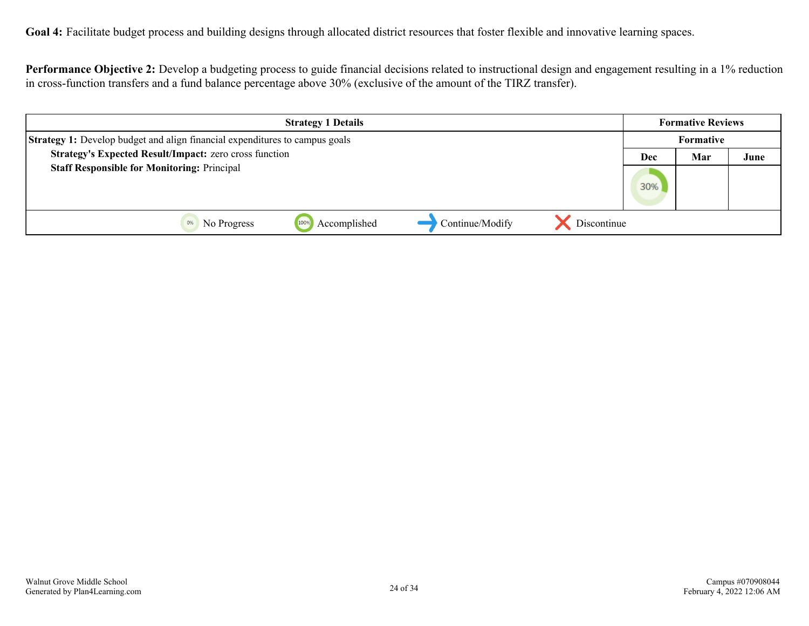**Goal 4:** Facilitate budget process and building designs through allocated district resources that foster flexible and innovative learning spaces.

**Performance Objective 2:** Develop a budgeting process to guide financial decisions related to instructional design and engagement resulting in a 1% reduction in cross-function transfers and a fund balance percentage above 30% (exclusive of the amount of the TIRZ transfer).

| <b>Strategy 1 Details</b>                                                          |              |                 |             | <b>Formative Reviews</b> |           |      |
|------------------------------------------------------------------------------------|--------------|-----------------|-------------|--------------------------|-----------|------|
| <b>Strategy 1:</b> Develop budget and align financial expenditures to campus goals |              |                 |             |                          | Formative |      |
| Strategy's Expected Result/Impact: zero cross function                             |              |                 |             | Dec                      | Mar       | June |
| <b>Staff Responsible for Monitoring: Principal</b>                                 |              |                 |             | 30%                      |           |      |
| 1009<br>No Progress                                                                | Accomplished | Continue/Modify | Discontinue |                          |           |      |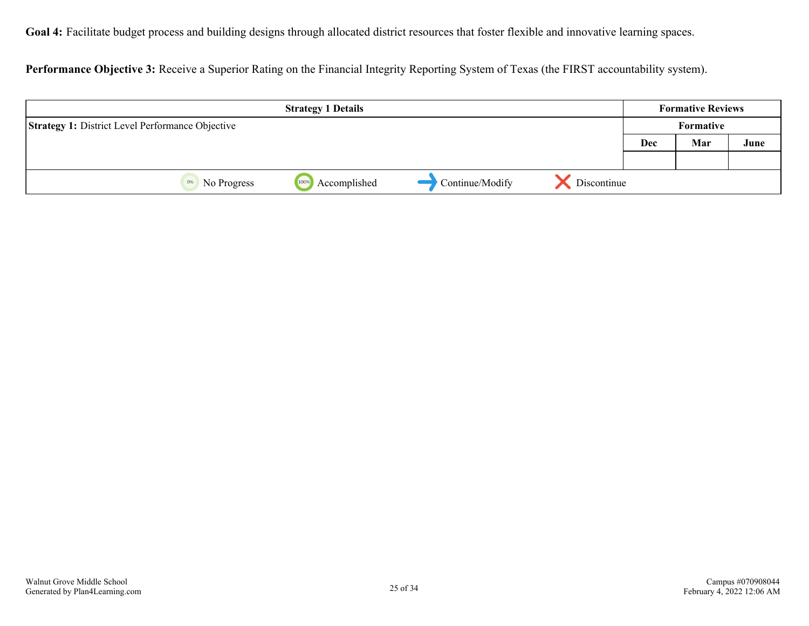**Goal 4:** Facilitate budget process and building designs through allocated district resources that foster flexible and innovative learning spaces.

**Performance Objective 3:** Receive a Superior Rating on the Financial Integrity Reporting System of Texas (the FIRST accountability system).

|                                                         | <b>Strategy 1 Details</b> |                 |             |           | <b>Formative Reviews</b> |      |
|---------------------------------------------------------|---------------------------|-----------------|-------------|-----------|--------------------------|------|
| <b>Strategy 1: District Level Performance Objective</b> |                           |                 |             | Formative |                          |      |
|                                                         |                           |                 |             | Dec       | Mar                      | June |
|                                                         |                           |                 |             |           |                          |      |
| No Progress<br>0%                                       | Accomplished<br>100%      | Continue/Modify | Discontinue |           |                          |      |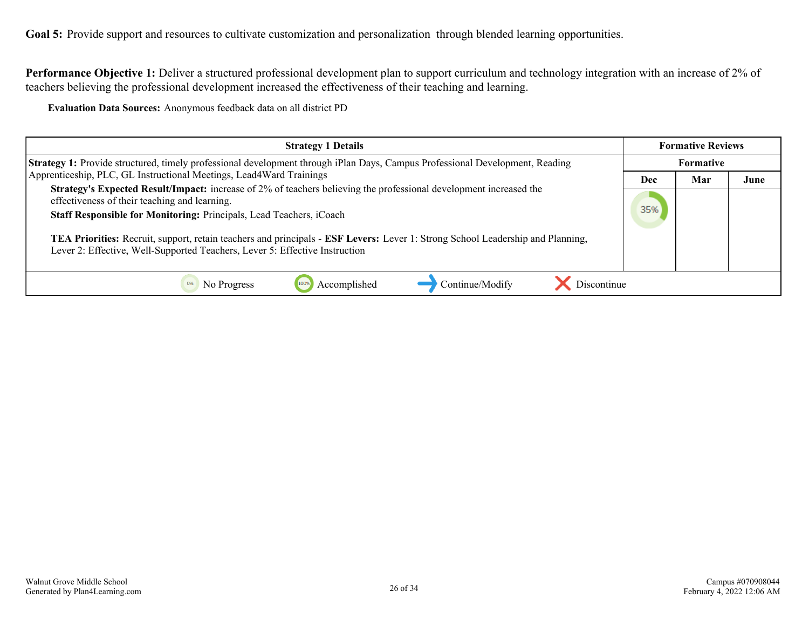<span id="page-25-0"></span>Goal 5: Provide support and resources to cultivate customization and personalization through blended learning opportunities.

**Performance Objective 1:** Deliver a structured professional development plan to support curriculum and technology integration with an increase of 2% of teachers believing the professional development increased the effectiveness of their teaching and learning.

**Evaluation Data Sources:** Anonymous feedback data on all district PD

| <b>Strategy 1 Details</b>                                                                                                                                                                                                                                                                                                                                                                                                                                          | <b>Formative Reviews</b> |                  |      |
|--------------------------------------------------------------------------------------------------------------------------------------------------------------------------------------------------------------------------------------------------------------------------------------------------------------------------------------------------------------------------------------------------------------------------------------------------------------------|--------------------------|------------------|------|
| <b>Strategy 1:</b> Provide structured, timely professional development through iPlan Days, Campus Professional Development, Reading                                                                                                                                                                                                                                                                                                                                |                          | <b>Formative</b> |      |
| Apprenticeship, PLC, GL Instructional Meetings, Lead4Ward Trainings                                                                                                                                                                                                                                                                                                                                                                                                | Dec                      | Mar              | June |
| <b>Strategy's Expected Result/Impact:</b> increase of 2% of teachers believing the professional development increased the<br>effectiveness of their teaching and learning.<br>Staff Responsible for Monitoring: Principals, Lead Teachers, iCoach<br>TEA Priorities: Recruit, support, retain teachers and principals - ESF Levers: Lever 1: Strong School Leadership and Planning,<br>Lever 2: Effective, Well-Supported Teachers, Lever 5: Effective Instruction |                          |                  |      |
| Accomplished<br>Continue/Modify<br>Discontinue<br>No Progress                                                                                                                                                                                                                                                                                                                                                                                                      |                          |                  |      |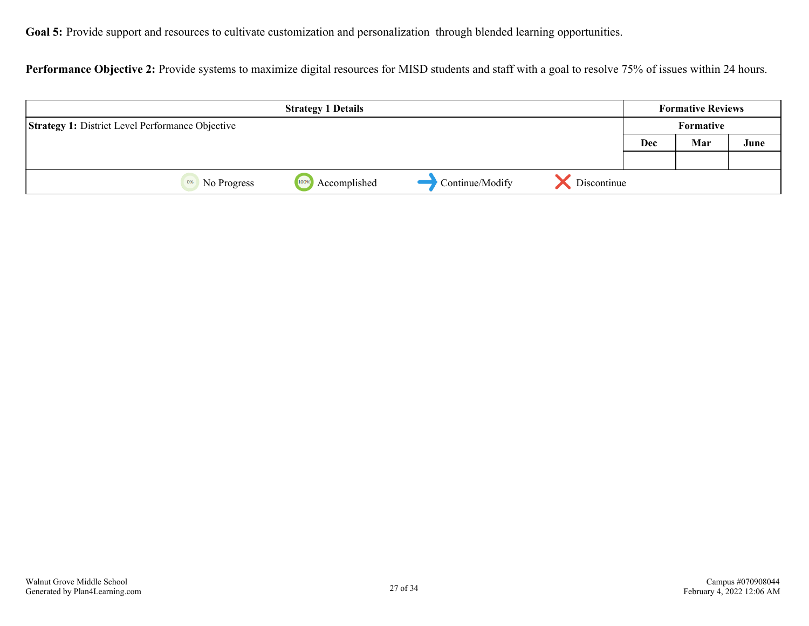Goal 5: Provide support and resources to cultivate customization and personalization through blended learning opportunities.

Performance Objective 2: Provide systems to maximize digital resources for MISD students and staff with a goal to resolve 75% of issues within 24 hours.

| <b>Strategy 1 Details</b>                               |                      |                 | <b>Formative Reviews</b> |           |     |      |
|---------------------------------------------------------|----------------------|-----------------|--------------------------|-----------|-----|------|
| <b>Strategy 1: District Level Performance Objective</b> |                      |                 |                          | Formative |     |      |
|                                                         |                      |                 |                          | Dec       | Mar | June |
|                                                         |                      |                 |                          |           |     |      |
| No Progress<br>0%                                       | Accomplished<br>100% | Continue/Modify | Discontinue              |           |     |      |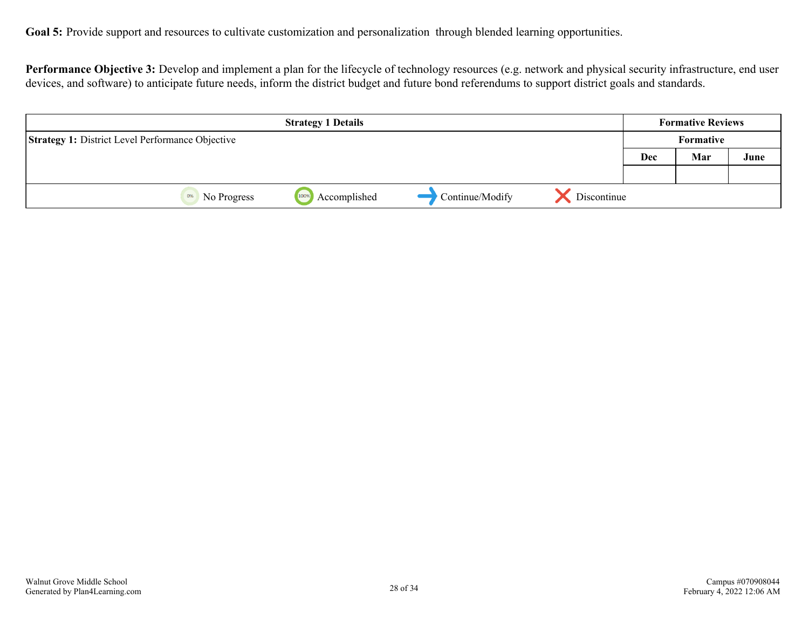**Performance Objective 3:** Develop and implement a plan for the lifecycle of technology resources (e.g. network and physical security infrastructure, end user devices, and software) to anticipate future needs, inform the district budget and future bond referendums to support district goals and standards.

| <b>Strategy 1 Details</b>                               |                      |                 | <b>Formative Reviews</b> |     |                  |      |
|---------------------------------------------------------|----------------------|-----------------|--------------------------|-----|------------------|------|
| <b>Strategy 1: District Level Performance Objective</b> |                      |                 |                          |     | <b>Formative</b> |      |
|                                                         |                      |                 |                          | Dec | Mar              | June |
|                                                         |                      |                 |                          |     |                  |      |
| 0%<br>No Progress                                       | Accomplished<br>100% | Continue/Modify | Discontinue              |     |                  |      |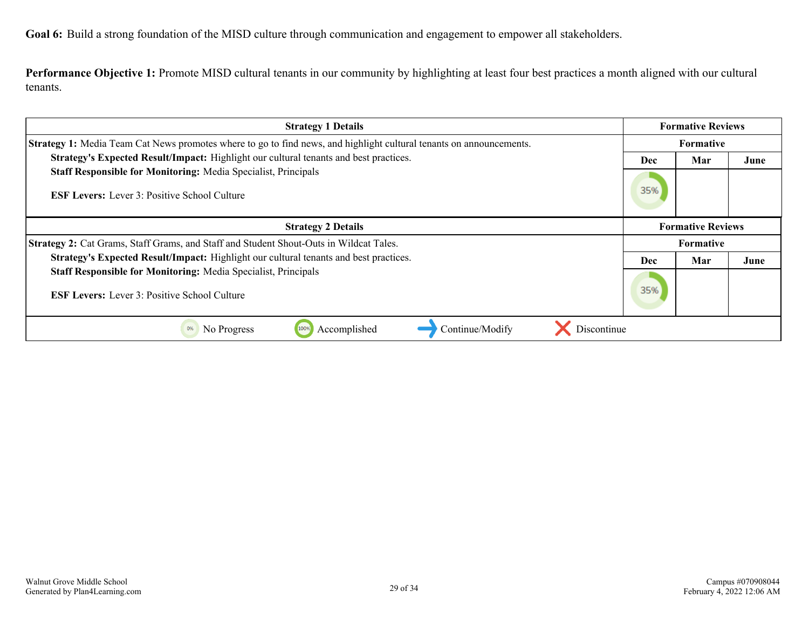<span id="page-28-0"></span>**Goal 6:** Build a strong foundation of the MISD culture through communication and engagement to empower all stakeholders.

**Performance Objective 1:** Promote MISD cultural tenants in our community by highlighting at least four best practices a month aligned with our cultural tenants.

| <b>Strategy 1 Details</b>                                                                                                    |     | <b>Formative Reviews</b> |      |  |
|------------------------------------------------------------------------------------------------------------------------------|-----|--------------------------|------|--|
| Strategy 1: Media Team Cat News promotes where to go to find news, and highlight cultural tenants on announcements.          |     | <b>Formative</b>         |      |  |
| Strategy's Expected Result/Impact: Highlight our cultural tenants and best practices.                                        | Dec | Mar                      | June |  |
| <b>Staff Responsible for Monitoring: Media Specialist, Principals</b><br><b>ESF Levers:</b> Lever 3: Positive School Culture |     |                          |      |  |
| <b>Strategy 2 Details</b>                                                                                                    |     | <b>Formative Reviews</b> |      |  |
| <b>Strategy 2:</b> Cat Grams, Staff Grams, and Staff and Student Shout-Outs in Wildcat Tales.                                |     | <b>Formative</b>         |      |  |
| Strategy's Expected Result/Impact: Highlight our cultural tenants and best practices.                                        | Dec | Mar                      | June |  |
| <b>Staff Responsible for Monitoring: Media Specialist, Principals</b><br><b>ESF Levers:</b> Lever 3: Positive School Culture | 35% |                          |      |  |
| Continue/Modify<br>0%<br>Accomplished<br>Discontinue<br>100%<br>No Progress                                                  |     |                          |      |  |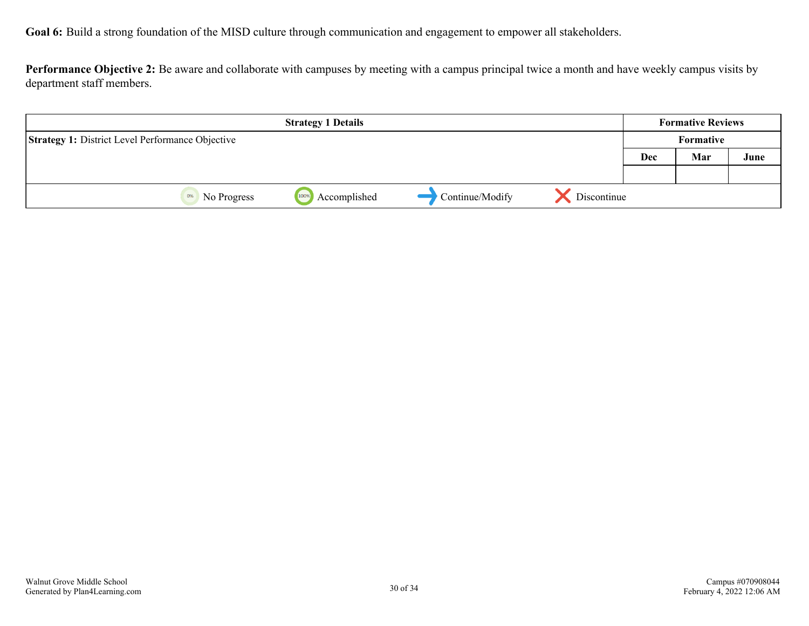**Performance Objective 2:** Be aware and collaborate with campuses by meeting with a campus principal twice a month and have weekly campus visits by department staff members.

| <b>Strategy 1 Details</b>                               |                      |                 | <b>Formative Reviews</b> |            |           |      |
|---------------------------------------------------------|----------------------|-----------------|--------------------------|------------|-----------|------|
| <b>Strategy 1: District Level Performance Objective</b> |                      |                 |                          |            | Formative |      |
|                                                         |                      |                 |                          | <b>Dec</b> | Mar       | June |
|                                                         |                      |                 |                          |            |           |      |
| 0%<br>No Progress                                       | Accomplished<br>100% | Continue/Modify | Discontinue              |            |           |      |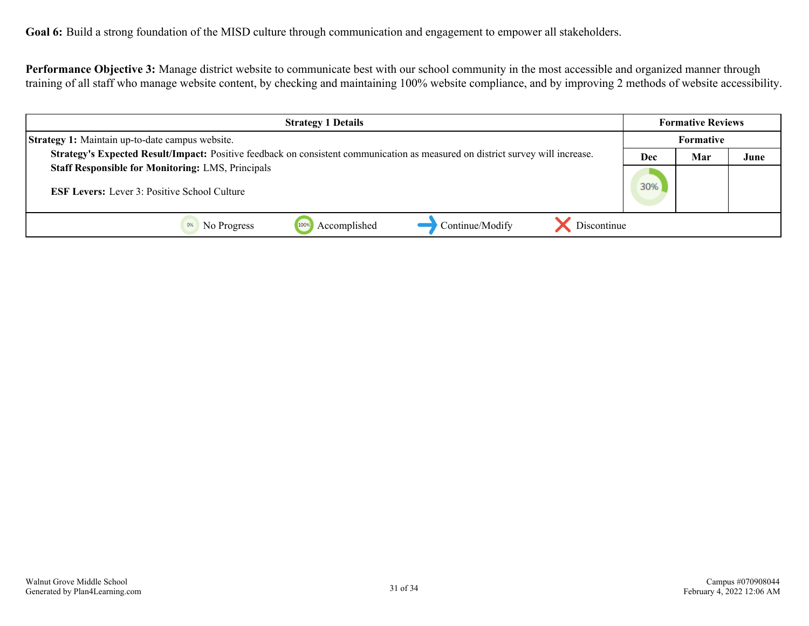**Goal 6:** Build a strong foundation of the MISD culture through communication and engagement to empower all stakeholders.

**Performance Objective 3:** Manage district website to communicate best with our school community in the most accessible and organized manner through training of all staff who manage website content, by checking and maintaining 100% website compliance, and by improving 2 methods of website accessibility.

| <b>Strategy 1 Details</b>                                                                                                      | <b>Formative Reviews</b> |                  |      |
|--------------------------------------------------------------------------------------------------------------------------------|--------------------------|------------------|------|
| <b>Strategy 1:</b> Maintain up-to-date campus website.                                                                         |                          | <b>Formative</b> |      |
| Strategy's Expected Result/Impact: Positive feedback on consistent communication as measured on district survey will increase. | Dec                      | Mar              | June |
| <b>Staff Responsible for Monitoring: LMS, Principals</b>                                                                       |                          |                  |      |
| <b>ESF Levers:</b> Lever 3: Positive School Culture                                                                            |                          |                  |      |
|                                                                                                                                |                          |                  |      |
| Continue/Modify<br>Discontinue<br>Accomplished<br>1009<br>No Progress                                                          |                          |                  |      |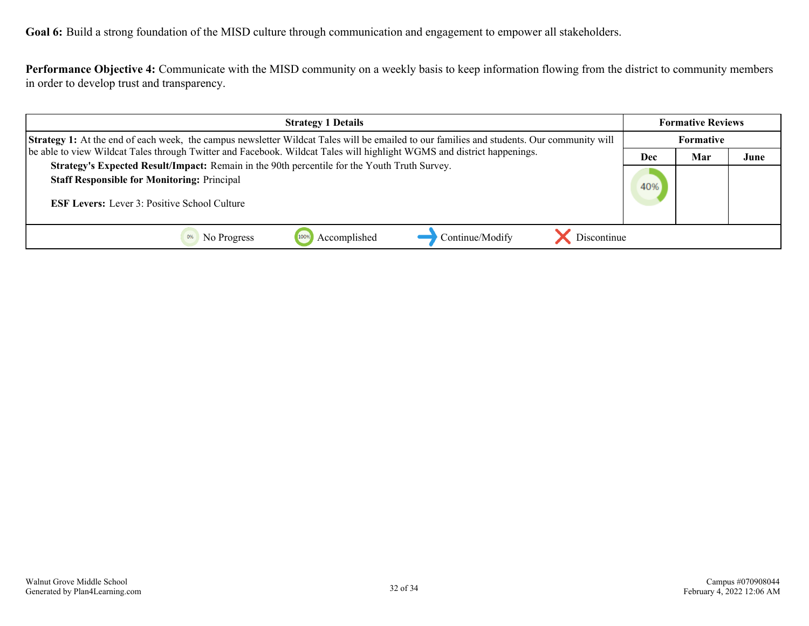**Goal 6:** Build a strong foundation of the MISD culture through communication and engagement to empower all stakeholders.

**Performance Objective 4:** Communicate with the MISD community on a weekly basis to keep information flowing from the district to community members in order to develop trust and transparency.

| <b>Strategy 1 Details</b>                                                                                                                                                                                                                                                                                                                                                                                                                                                               |  | <b>Formative Reviews</b> |      |  |
|-----------------------------------------------------------------------------------------------------------------------------------------------------------------------------------------------------------------------------------------------------------------------------------------------------------------------------------------------------------------------------------------------------------------------------------------------------------------------------------------|--|--------------------------|------|--|
| <b>Strategy 1:</b> At the end of each week, the campus newsletter Wildcat Tales will be emailed to our families and students. Our community will<br>be able to view Wildcat Tales through Twitter and Facebook. Wildcat Tales will highlight WGMS and district happenings.<br>Strategy's Expected Result/Impact: Remain in the 90th percentile for the Youth Truth Survey.<br><b>Staff Responsible for Monitoring: Principal</b><br><b>ESF Levers:</b> Lever 3: Positive School Culture |  | Formative                |      |  |
|                                                                                                                                                                                                                                                                                                                                                                                                                                                                                         |  | Mar                      | June |  |
|                                                                                                                                                                                                                                                                                                                                                                                                                                                                                         |  |                          |      |  |
|                                                                                                                                                                                                                                                                                                                                                                                                                                                                                         |  |                          |      |  |
| Continue/Modify<br>Discontinue<br>Accomplished<br>No Progress                                                                                                                                                                                                                                                                                                                                                                                                                           |  |                          |      |  |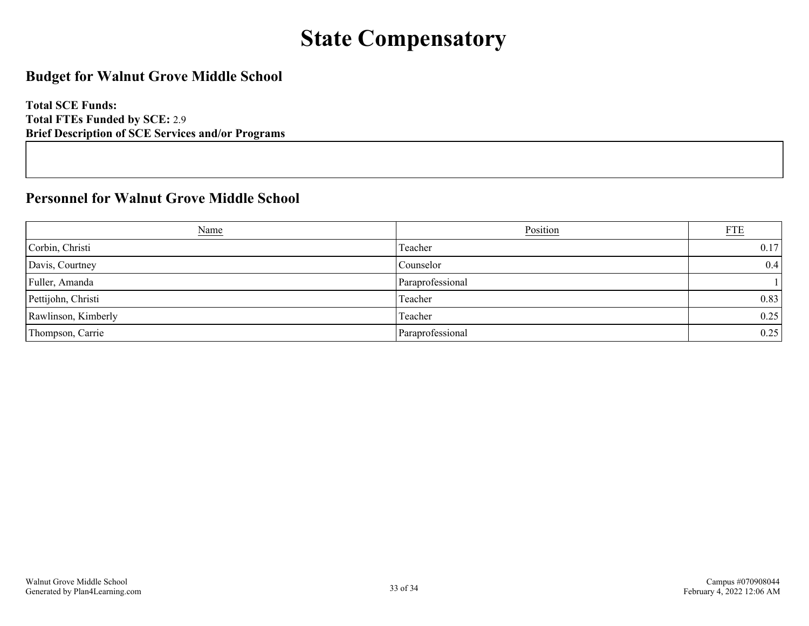## **State Compensatory**

### <span id="page-32-0"></span>**Budget for Walnut Grove Middle School**

**Total SCE Funds: Total FTEs Funded by SCE:** 2.9 **Brief Description of SCE Services and/or Programs**

### **Personnel for Walnut Grove Middle School**

| <u>Name</u>         | Position         | <b>FTE</b> |
|---------------------|------------------|------------|
| Corbin, Christi     | Teacher          | 0.17       |
| Davis, Courtney     | Counselor        | 0.4        |
| Fuller, Amanda      | Paraprofessional |            |
| Pettijohn, Christi  | Teacher          | 0.83       |
| Rawlinson, Kimberly | Teacher          | 0.25       |
| Thompson, Carrie    | Paraprofessional | 0.25       |